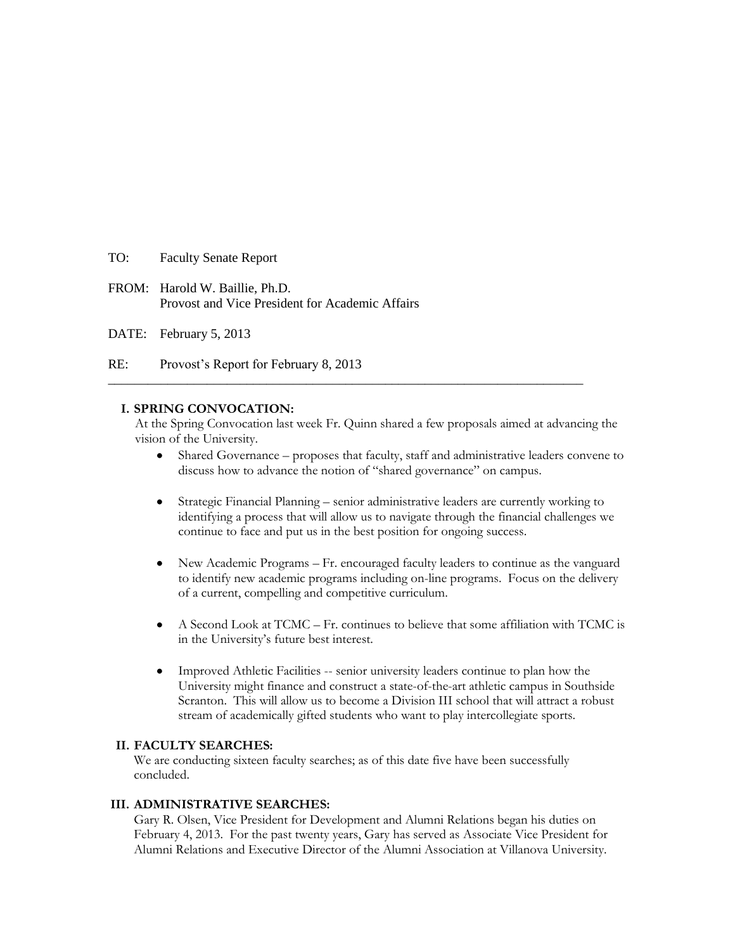TO: Faculty Senate Report

FROM: Harold W. Baillie, Ph.D. Provost and Vice President for Academic Affairs

DATE: February 5, 2013

RE: Provost's Report for February 8, 2013

### **I. SPRING CONVOCATION:**

At the Spring Convocation last week Fr. Quinn shared a few proposals aimed at advancing the vision of the University.

**\_\_\_\_\_\_\_\_\_\_\_\_\_\_\_\_\_\_\_\_\_\_\_\_\_\_\_\_\_\_\_\_\_\_\_\_\_\_\_\_\_\_\_\_\_\_\_\_\_\_\_\_\_\_\_\_\_\_\_\_\_\_\_\_\_\_\_\_\_\_\_\_**

- Shared Governance proposes that faculty, staff and administrative leaders convene to discuss how to advance the notion of "shared governance" on campus.
- Strategic Financial Planning senior administrative leaders are currently working to identifying a process that will allow us to navigate through the financial challenges we continue to face and put us in the best position for ongoing success.
- New Academic Programs Fr. encouraged faculty leaders to continue as the vanguard to identify new academic programs including on-line programs. Focus on the delivery of a current, compelling and competitive curriculum.
- A Second Look at TCMC Fr. continues to believe that some affiliation with TCMC is in the University's future best interest.
- Improved Athletic Facilities -- senior university leaders continue to plan how the University might finance and construct a state-of-the-art athletic campus in Southside Scranton. This will allow us to become a Division III school that will attract a robust stream of academically gifted students who want to play intercollegiate sports.

### **II. FACULTY SEARCHES:**

We are conducting sixteen faculty searches; as of this date five have been successfully concluded.

### **III. ADMINISTRATIVE SEARCHES:**

Gary R. Olsen, Vice President for Development and Alumni Relations began his duties on February 4, 2013. For the past twenty years, Gary has served as Associate Vice President for Alumni Relations and Executive Director of the Alumni Association at Villanova University.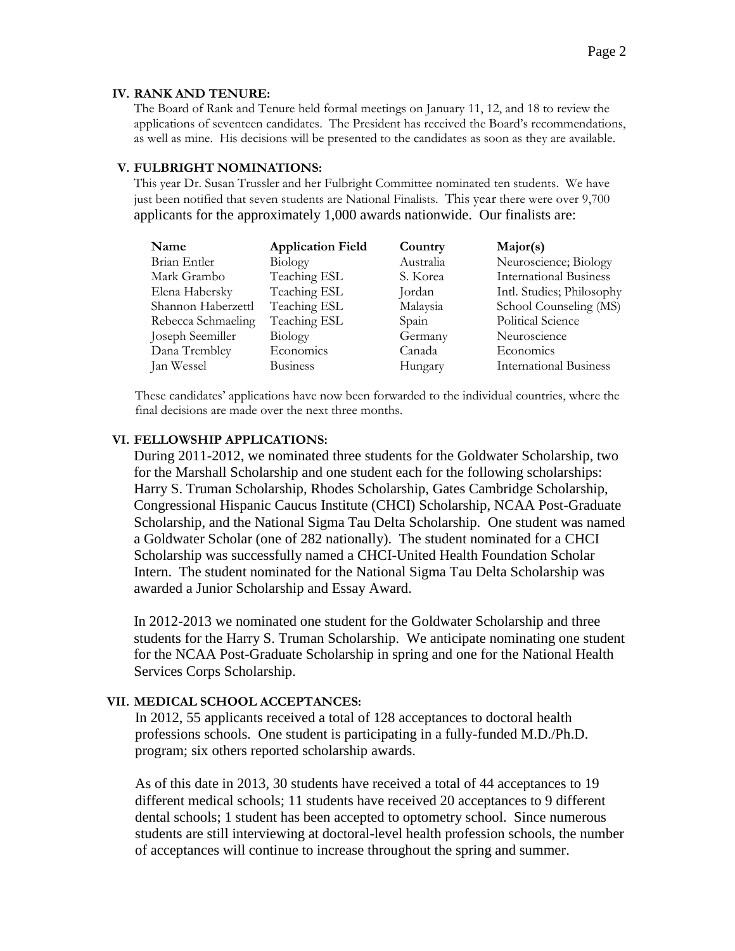### **IV. RANK AND TENURE:**

The Board of Rank and Tenure held formal meetings on January 11, 12, and 18 to review the applications of seventeen candidates. The President has received the Board's recommendations, as well as mine. His decisions will be presented to the candidates as soon as they are available.

### **V. FULBRIGHT NOMINATIONS:**

This year Dr. Susan Trussler and her Fulbright Committee nominated ten students. We have just been notified that seven students are National Finalists. This year there were over 9,700 applicants for the approximately 1,000 awards nationwide. Our finalists are:

| Name               | <b>Application Field</b> | Country   | Major(s)                      |
|--------------------|--------------------------|-----------|-------------------------------|
| Brian Entler       | Biology                  | Australia | Neuroscience; Biology         |
| Mark Grambo        | Teaching ESL             | S. Korea  | <b>International Business</b> |
| Elena Habersky     | Teaching ESL             | Jordan    | Intl. Studies; Philosophy     |
| Shannon Haberzettl | Teaching ESL             | Malaysia  | School Counseling (MS)        |
| Rebecca Schmaeling | Teaching ESL             | Spain     | Political Science             |
| Joseph Seemiller   | Biology                  | Germany   | Neuroscience                  |
| Dana Trembley      | Economics                | Canada    | Economics                     |
| Jan Wessel         | <b>Business</b>          | Hungary   | <b>International Business</b> |

These candidates' applications have now been forwarded to the individual countries, where the final decisions are made over the next three months.

# **VI. FELLOWSHIP APPLICATIONS:**

During 2011-2012, we nominated three students for the Goldwater Scholarship, two for the Marshall Scholarship and one student each for the following scholarships: Harry S. Truman Scholarship, Rhodes Scholarship, Gates Cambridge Scholarship, Congressional Hispanic Caucus Institute (CHCI) Scholarship, NCAA Post-Graduate Scholarship, and the National Sigma Tau Delta Scholarship. One student was named a Goldwater Scholar (one of 282 nationally). The student nominated for a CHCI Scholarship was successfully named a CHCI-United Health Foundation Scholar Intern. The student nominated for the National Sigma Tau Delta Scholarship was awarded a Junior Scholarship and Essay Award.

In 2012-2013 we nominated one student for the Goldwater Scholarship and three students for the Harry S. Truman Scholarship. We anticipate nominating one student for the NCAA Post-Graduate Scholarship in spring and one for the National Health Services Corps Scholarship.

# **VII. MEDICAL SCHOOL ACCEPTANCES:**

In 2012, 55 applicants received a total of 128 acceptances to doctoral health professions schools. One student is participating in a fully-funded M.D./Ph.D. program; six others reported scholarship awards.

As of this date in 2013, 30 students have received a total of 44 acceptances to 19 different medical schools; 11 students have received 20 acceptances to 9 different dental schools; 1 student has been accepted to optometry school. Since numerous students are still interviewing at doctoral-level health profession schools, the number of acceptances will continue to increase throughout the spring and summer.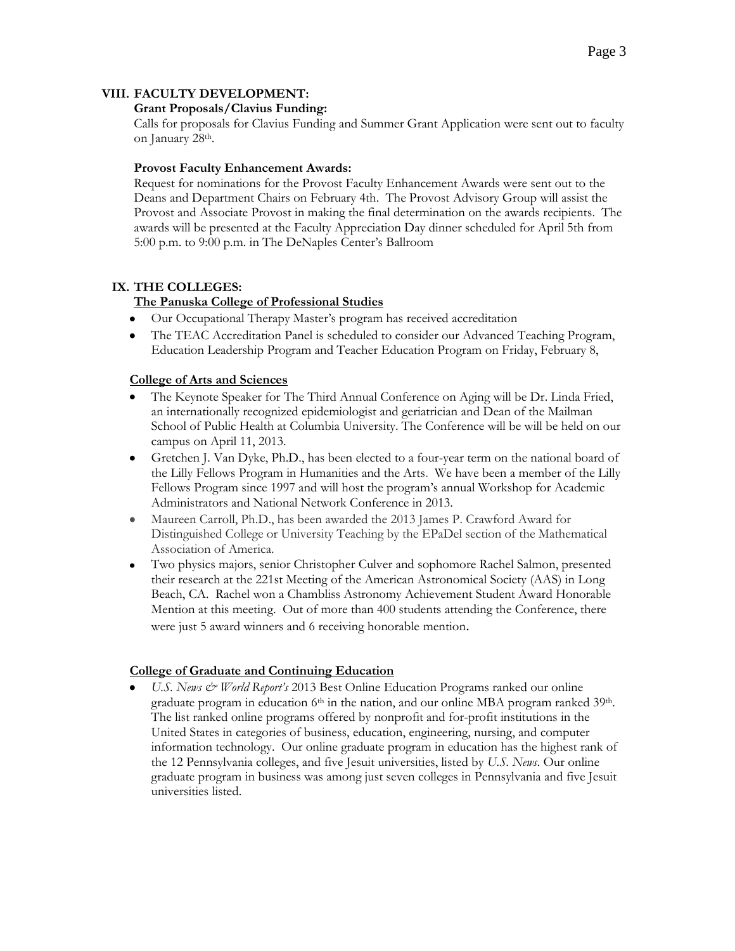# **VIII. FACULTY DEVELOPMENT:**

### **Grant Proposals/Clavius Funding:**

Calls for proposals for Clavius Funding and Summer Grant Application were sent out to faculty on January 28th.

### **Provost Faculty Enhancement Awards:**

Request for nominations for the Provost Faculty Enhancement Awards were sent out to the Deans and Department Chairs on February 4th. The Provost Advisory Group will assist the Provost and Associate Provost in making the final determination on the awards recipients. The awards will be presented at the Faculty Appreciation Day dinner scheduled for April 5th from 5:00 p.m. to 9:00 p.m. in The DeNaples Center's Ballroom

# **IX. THE COLLEGES:**

# **The Panuska College of Professional Studies**

- Our Occupational Therapy Master's program has received accreditation
- The TEAC Accreditation Panel is scheduled to consider our Advanced Teaching Program,  $\bullet$ Education Leadership Program and Teacher Education Program on Friday, February 8,

### **College of Arts and Sciences**

- The Keynote Speaker for The Third Annual Conference on Aging will be Dr. Linda Fried, an internationally recognized epidemiologist and geriatrician and Dean of the Mailman School of Public Health at Columbia University. The Conference will be will be held on our campus on April 11, 2013.
- Gretchen J. Van Dyke, Ph.D., has been elected to a four-year term on the national board of the Lilly Fellows Program in Humanities and the Arts. We have been a member of the Lilly Fellows Program since 1997 and will host the program's annual Workshop for Academic Administrators and National Network Conference in 2013.
- Maureen Carroll, Ph.D., has been awarded the 2013 James P. Crawford Award for  $\bullet$ Distinguished College or University Teaching by the EPaDel section of the Mathematical Association of America.
- Two physics majors, senior Christopher Culver and sophomore Rachel Salmon, presented their research at the 221st Meeting of the American Astronomical Society (AAS) in Long Beach, CA. Rachel won a Chambliss Astronomy Achievement Student Award Honorable Mention at this meeting. Out of more than 400 students attending the Conference, there were just 5 award winners and 6 receiving honorable mention.

# **College of Graduate and Continuing Education**

*U.S. News & World Report's* 2013 Best Online Education Programs ranked our online graduate program in education  $6<sup>th</sup>$  in the nation, and our online MBA program ranked 39<sup>th</sup>. The list ranked online programs offered by nonprofit and for-profit institutions in the United States in categories of business, education, engineering, nursing, and computer information technology. Our online graduate program in education has the highest rank of the 12 Pennsylvania colleges, and five Jesuit universities, listed by *U.S. News*. Our online graduate program in business was among just seven colleges in Pennsylvania and five Jesuit universities listed.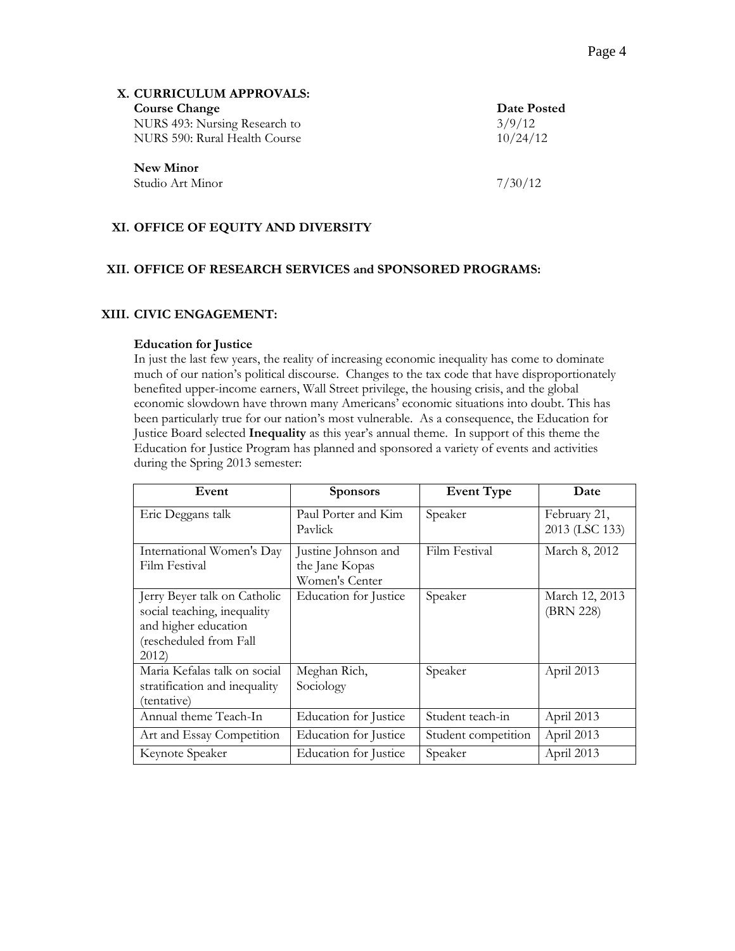| X. CURRICULUM APPROVALS:      |             |
|-------------------------------|-------------|
| <b>Course Change</b>          | Date Posted |
| NURS 493: Nursing Research to | 3/9/12      |
| NURS 590: Rural Health Course | 10/24/12    |
| New Minor                     |             |
| Studio Art Minor              | 7/30/12     |

# **XI. OFFICE OF EQUITY AND DIVERSITY**

### **XII. OFFICE OF RESEARCH SERVICES and SPONSORED PROGRAMS:**

#### **XIII. CIVIC ENGAGEMENT:**

#### **Education for Justice**

In just the last few years, the reality of increasing economic inequality has come to dominate much of our nation's political discourse. Changes to the tax code that have disproportionately benefited upper-income earners, Wall Street privilege, the housing crisis, and the global economic slowdown have thrown many Americans' economic situations into doubt. This has been particularly true for our nation's most vulnerable. As a consequence, the Education for Justice Board selected **Inequality** as this year's annual theme. In support of this theme the Education for Justice Program has planned and sponsored a variety of events and activities during the Spring 2013 semester:

| Event                                                                                                                 | <b>Sponsors</b>                                         | <b>Event Type</b>   | Date                           |
|-----------------------------------------------------------------------------------------------------------------------|---------------------------------------------------------|---------------------|--------------------------------|
| Eric Deggans talk                                                                                                     | Paul Porter and Kim<br>Paylick                          | Speaker             | February 21,<br>2013 (LSC 133) |
| International Women's Day<br>Film Festival                                                                            | Justine Johnson and<br>the Jane Kopas<br>Women's Center | Film Festival       | March 8, 2012                  |
| Jerry Beyer talk on Catholic<br>social teaching, inequality<br>and higher education<br>(rescheduled from Fall<br>2012 | Education for Justice                                   | Speaker             | March 12, 2013<br>(BRN 228)    |
| Maria Kefalas talk on social<br>stratification and inequality<br>(tentative)                                          | Meghan Rich,<br>Sociology                               | Speaker             | April 2013                     |
| Annual theme Teach-In                                                                                                 | Education for Justice                                   | Student teach-in    | April 2013                     |
| Art and Essay Competition                                                                                             | Education for Justice                                   | Student competition | April 2013                     |
| Keynote Speaker                                                                                                       | Education for Justice                                   | Speaker             | April 2013                     |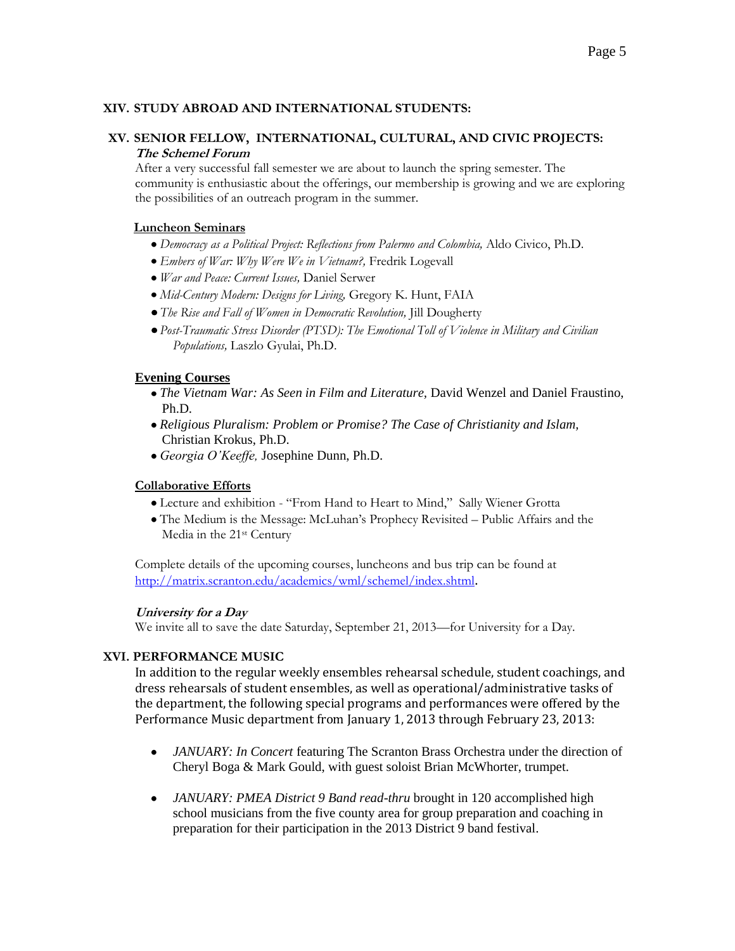### **XIV. STUDY ABROAD AND INTERNATIONAL STUDENTS:**

### **XV. SENIOR FELLOW, INTERNATIONAL, CULTURAL, AND CIVIC PROJECTS: The Schemel Forum**

After a very successful fall semester we are about to launch the spring semester. The community is enthusiastic about the offerings, our membership is growing and we are exploring the possibilities of an outreach program in the summer.

### **Luncheon Seminars**

- *Democracy as a Political Project: Reflections from Palermo and Colombia,* Aldo Civico, Ph.D.
- *Embers of War: Why Were We in Vietnam?,* Fredrik Logevall
- *War and Peace: Current Issues,* Daniel Serwer
- *Mid-Century Modern: Designs for Living,* Gregory K. Hunt, FAIA
- *The Rise and Fall of Women in Democratic Revolution,* Jill Dougherty
- *Post-Traumatic Stress Disorder (PTSD): The Emotional Toll of Violence in Military and Civilian Populations,* Laszlo Gyulai, Ph.D.

### **Evening Courses**

- *The Vietnam War: As Seen in Film and Literature,* David Wenzel and Daniel Fraustino, Ph.D.
- *Religious Pluralism: Problem or Promise? The Case of Christianity and Islam,* Christian Krokus, Ph.D.
- *Georgia O'Keeffe,* Josephine Dunn, Ph.D.

### **Collaborative Efforts**

- Lecture and exhibition "From Hand to Heart to Mind," Sally Wiener Grotta
- The Medium is the Message: McLuhan's Prophecy Revisited Public Affairs and the Media in the 21st Century

Complete details of the upcoming courses, luncheons and bus trip can be found at <http://matrix.scranton.edu/academics/wml/schemel/index.shtml>.

### **University for a Day**

We invite all to save the date Saturday, September 21, 2013—for University for a Day.

# **XVI. PERFORMANCE MUSIC**

In addition to the regular weekly ensembles rehearsal schedule, student coachings, and dress rehearsals of student ensembles, as well as operational/administrative tasks of the department, the following special programs and performances were offered by the Performance Music department from January 1, 2013 through February 23, 2013:

- *JANUARY: In Concert* featuring The Scranton Brass Orchestra under the direction of  $\bullet$ Cheryl Boga & Mark Gould, with guest soloist Brian McWhorter, trumpet.
- *JANUARY: PMEA District 9 Band read-thru* brought in 120 accomplished high  $\bullet$ school musicians from the five county area for group preparation and coaching in preparation for their participation in the 2013 District 9 band festival.